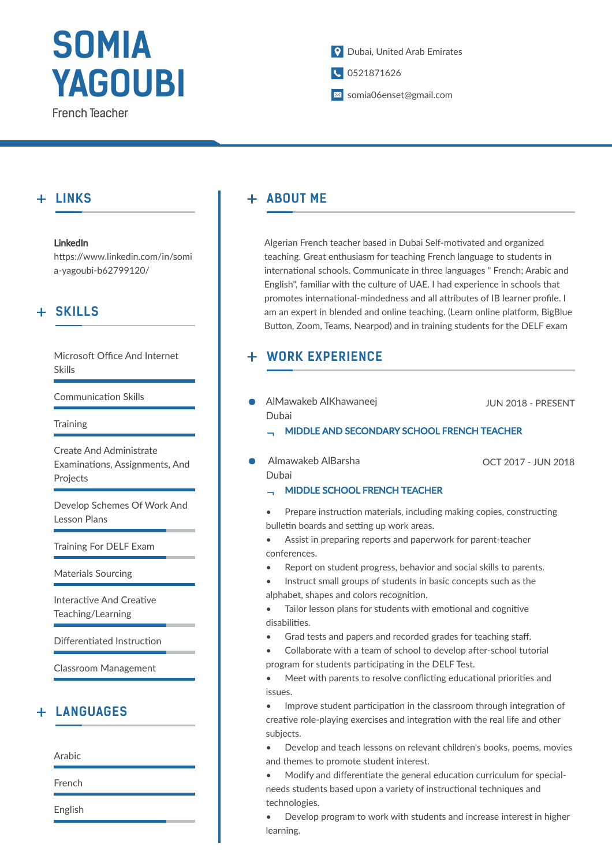# **SOMIA YAGOUBI**

French Teacher

## Dubai, United Arab Emirates

- 0521871626
- somia06enset@gmail.com

# **LINKS**

### LinkedIn

https://www.linkedin.com/in/somi a-yagoubi-b62799120/

# **SKILLS**

Microsoft Office And Internet Skills

Communication Skills

**Training** 

Create And Administrate Examinations, Assignments, And Projects

Develop Schemes Of Work And Lesson Plans

Training For DELF Exam

Materials Sourcing

Interactive And Creative Teaching/Learning

Differentiated Instruction

Classroom Management

## **LANGUAGES**

Arabic

French

English

#### **ABOUT ME**  $+$

Algerian French teacher based in Dubai Self-motivated and organized teaching. Great enthusiasm for teaching French language to students in international schools. Communicate in three languages " French; Arabic and English", familiar with the culture of UAE. I had experience in schools that promotes international-mindedness and all attributes of IB learner profile. I am an expert in blended and online teaching. (Learn online platform, BigBlue Button, Zoom, Teams, Nearpod) and in training students for the DELF exam

#### **WORK EXPERIENCE**  $+$

AlMawakeb AlKhawaneej Dubai

JUN 2018 - PRESENT

- MIDDLE AND SECONDARY SCHOOL FRENCH TEACHER
- Almawakeb AlBarsha Dubai

OCT 2017 - JUN 2018

MIDDLE SCHOOL FRENCH TEACHER

Prepare instruction materials, including making copies, constructing bulletin boards and setting up work areas.

- Assist in preparing reports and paperwork for parent-teacher conferences.
- Report on student progress, behavior and social skills to parents.
- Instruct small groups of students in basic concepts such as the alphabet, shapes and colors recognition.
- Tailor lesson plans for students with emotional and cognitive disabilities.
- Grad tests and papers and recorded grades for teaching staff.
- Collaborate with a team of school to develop after-school tutorial program for students participating in the DELF Test.
- Meet with parents to resolve conflicting educational priorities and issues.
- $\bullet$  Improve student participation in the classroom through integration of creative role-playing exercises and integration with the real life and other subjects.
- Develop and teach lessons on relevant children's books, poems, movies and themes to promote student interest.
- Modify and differentiate the general education curriculum for specialneeds students based upon a variety of instructional techniques and technologies.

• Develop program to work with students and increase interest in higher learning.